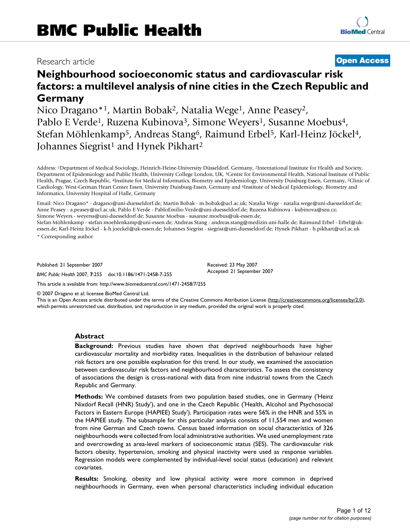## Research article **[Open Access](http://www.biomedcentral.com/info/about/charter/)**

# **Neighbourhood socioeconomic status and cardiovascular risk factors: a multilevel analysis of nine cities in the Czech Republic and Germany**

Nico Dragano<sup>\*1</sup>, Martin Bobak<sup>2</sup>, Natalia Wege<sup>1</sup>, Anne Peasey<sup>2</sup>, Pablo E Verde<sup>1</sup>, Ruzena Kubinova<sup>3</sup>, Simone Weyers<sup>1</sup>, Susanne Moebus<sup>4</sup>, Stefan Möhlenkamp5, Andreas Stang6, Raimund Erbel5, Karl-Heinz Jöckel4, Johannes Siegrist<sup>1</sup> and Hynek Pikhart<sup>2</sup>

Address: 1Department of Medical Sociology, Heinrich-Heine-University Düsseldorf, Germany, 2International Institute for Health and Society, Department of Epidemiology and Public Health, University College London, UK, 3Centre for Environmental Health, National Institute of Public Health, Prague, Czech Republic, 4Institute for Medical Informatics, Biometry and Epidemiology, University Duisburg-Essen, Germany, 5Clinic of Cardiology, West-German Heart Center Essen, University Duisburg-Essen, Germany and <sup>6</sup>Institute of Medical Epidemiology, Biometry and Informatics, University Hospital of Halle, Germany

Email: Nico Dragano\* - dragano@uni-duesseldorf.de; Martin Bobak - m.bobak@ucl.ac.uk; Natalia Wege - natalia.wege@uni-duesseldorf.de; Anne Peasey - a.peasey@ucl.ac.uk; Pablo E Verde - PabloEmilio.Verde@uni-duesseldorf.de; Ruzena Kubinova - kubinova@szu.cz; Simone Weyers - weyerss@uni-duesseldorf.de; Susanne Moebus - susanne.moebus@uk-essen.de; Stefan Möhlenkamp - stefan.moehlenkamp@uni-essen.de; Andreas Stang - andreas.stang@medizin.uni-halle.de; Raimund Erbel - Erbel@ukessen.de; Karl-Heinz Jöckel - k-h.joeckel@uk-essen.de; Johannes Siegrist - siegrist@uni-duesseldorf.de; Hynek Pikhart - h.pikhart@ucl.ac.uk

\* Corresponding author

Published: 21 September 2007

*BMC Public Health* 2007, **7**:255 doi:10.1186/1471-2458-7-255

[This article is available from: http://www.biomedcentral.com/1471-2458/7/255](http://www.biomedcentral.com/1471-2458/7/255)

© 2007 Dragano et al; licensee BioMed Central Ltd.

This is an Open Access article distributed under the terms of the Creative Commons Attribution License [\(http://creativecommons.org/licenses/by/2.0\)](http://creativecommons.org/licenses/by/2.0), which permits unrestricted use, distribution, and reproduction in any medium, provided the original work is properly cited.

Received: 23 May 2007 Accepted: 21 September 2007

#### **Abstract**

**Background:** Previous studies have shown that deprived neighbourhoods have higher cardiovascular mortality and morbidity rates. Inequalities in the distribution of behaviour related risk factors are one possible explanation for this trend. In our study, we examined the association between cardiovascular risk factors and neighbourhood characteristics. To assess the consistency of associations the design is cross-national with data from nine industrial towns from the Czech Republic and Germany.

**Methods:** We combined datasets from two population based studies, one in Germany ('Heinz Nixdorf Recall (HNR) Study'), and one in the Czech Republic ('Health, Alcohol and Psychosocial Factors in Eastern Europe (HAPIEE) Study'). Participation rates were 56% in the HNR and 55% in the HAPIEE study. The subsample for this particular analysis consists of 11,554 men and women from nine German and Czech towns. Census based information on social characteristics of 326 neighbourhoods were collected from local administrative authorities. We used unemployment rate and overcrowding as area-level markers of socioeconomic status (SES). The cardiovascular risk factors obesity, hypertension, smoking and physical inactivity were used as response variables. Regression models were complemented by individual-level social status (education) and relevant covariates.

**Results:** Smoking, obesity and low physical activity were more common in deprived neighbourhoods in Germany, even when personal characteristics including individual education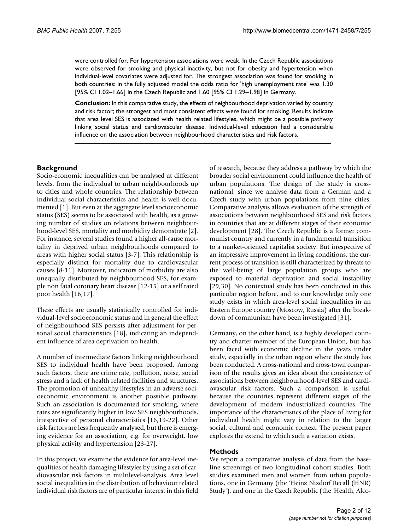were controlled for. For hypertension associations were weak. In the Czech Republic associations were observed for smoking and physical inactivity, but not for obesity and hypertension when individual-level covariates were adjusted for. The strongest association was found for smoking in both countries: in the fully adjusted model the odds ratio for 'high unemployment rate' was 1.30 [95% CI 1.02–1.66] in the Czech Republic and 1.60 [95% CI 1.29–1.98] in Germany.

**Conclusion:** In this comparative study, the effects of neighbourhood deprivation varied by country and risk factor; the strongest and most consistent effects were found for smoking. Results indicate that area level SES is associated with health related lifestyles, which might be a possible pathway linking social status and cardiovascular disease. Individual-level education had a considerable influence on the association between neighbourhood characteristics and risk factors.

#### **Background**

Socio-economic inequalities can be analysed at different levels, from the individual to urban neighbourhoods up to cities and whole countries. The relationship between individual social characteristics and health is well documented [1]. But even at the aggregate level socioeconomic status (SES) seems to be associated with health, as a growing number of studies on relations between neighbourhood-level SES, mortality and morbidity demonstrate [2]. For instance, several studies found a higher all-cause mortality in deprived urban neighbourhoods compared to areas with higher social status [3-7]. This relationship is especially distinct for mortality due to cardiovascular causes [8-11]. Moreover, indicators of morbidity are also unequally distributed by neighbourhood SES, for example non fatal coronary heart disease [12-15] or a self rated poor health [16,17].

These effects are usually statistically controlled for individual-level socioeconomic status and in general the effect of neighbourhood SES persists after adjustment for personal social characteristics [18], indicating an independent influence of area deprivation on health.

A number of intermediate factors linking neighbourhood SES to individual health have been proposed. Among such factors, there are crime rate, pollution, noise, social stress and a lack of health related facilities and structures. The promotion of unhealthy lifestyles in an adverse socioeconomic environment is another possible pathway. Such an association is documented for smoking, where rates are significantly higher in low SES neighbourhoods, irrespective of personal characteristics [16,19-22]. Other risk factors are less frequently analysed, but there is emerging evidence for an association, e.g. for overweight, low physical activity and hypertension [23-27].

In this project, we examine the evidence for area-level inequalities of health damaging lifestyles by using a set of cardiovascular risk factors in multilevel-analysis. Area level social inequalities in the distribution of behaviour related individual risk factors are of particular interest in this field of research, because they address a pathway by which the broader social environment could influence the health of urban populations. The design of the study is crossnational, since we analyse data from a German and a Czech study with urban populations from nine cities. Comparative analysis allows evaluation of the strength of associations between neighbourhood SES and risk factors in countries that are at different stages of their economic development [28]. The Czech Republic is a former communist country and currently in a fundamental transition to a market-oriented capitalist society. But irrespective of an impressive improvement in living conditions, the current process of transition is still characterized by threats to the well-being of large population groups who are exposed to material deprivation and social instability [29,30]. No contextual study has been conducted in this particular region before, and to our knowledge only one study exists in which area-level social inequalities in an Eastern Europe country (Moscow, Russia) after the breakdown of communism have been investigated [31].

Germany, on the other hand, is a highly developed country and charter member of the European Union, but has been faced with economic decline in the years under study, especially in the urban region where the study has been conducted. A cross-national and cross-town comparison of the results gives an idea about the consistency of associations between neighbourhood-level SES and cardiovascular risk factors. Such a comparison is useful, because the countries represent different stages of the development of modern industrialized countries. The importance of the characteristics of the place of living for individual health might vary in relation to the larger social, cultural and economic context. The present paper explores the extend to which such a variation exists.

#### **Methods**

We report a comparative analysis of data from the baseline screenings of two longitudinal cohort studies. Both studies examined men and women from urban populations, one in Germany (the 'Heinz Nixdorf Recall (HNR) Study'), and one in the Czech Republic (the 'Health, Alco-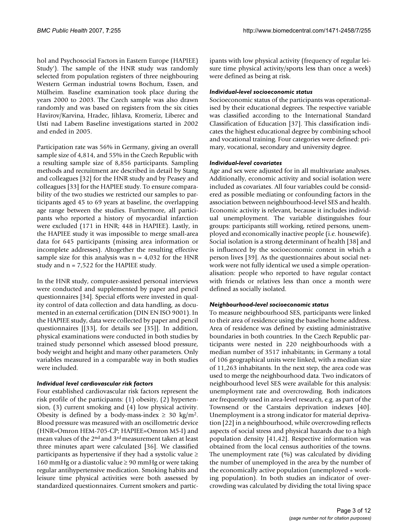hol and Psychosocial Factors in Eastern Europe (HAPIEE) Study'). The sample of the HNR study was randomly selected from population registers of three neighbouring Western German industrial towns Bochum, Essen, and Mülheim. Baseline examination took place during the years 2000 to 2003. The Czech sample was also drawn randomly and was based on registers from the six cities Havirov/Karvina, Hradec, Jihlava, Kromeriz, Liberec and Usti nad Labem Baseline investigations started in 2002 and ended in 2005.

Participation rate was 56% in Germany, giving an overall sample size of 4,814, and 55% in the Czech Republic with a resulting sample size of 8,856 participants. Sampling methods and recruitment are described in detail by Stang and colleagues [32] for the HNR study and by Peasey and colleagues [33] for the HAPIEE study. To ensure comparability of the two studies we restricted our samples to participants aged 45 to 69 years at baseline, the overlapping age range between the studies. Furthermore, all participants who reported a history of myocardial infarction were excluded (171 in HNR; 448 in HAPIEE). Lastly, in the HAPIEE study it was impossible to merge small-area data for 645 participants (missing area information or incomplete addresses). Altogether the resulting effective sample size for this analysis was  $n = 4,032$  for the HNR study and  $n = 7,522$  for the HAPIEE study.

In the HNR study, computer-assisted personal interviews were conducted and supplemented by paper and pencil questionnaires [34]. Special efforts were invested in quality control of data collection and data handling, as documented in an external certification (DIN EN ISO 9001). In the HAPIEE study, data were collected by paper and pencil questionnaires [[33], for details see [35]]. In addition, physical examinations were conducted in both studies by trained study personnel which assessed blood pressure, body weight and height and many other parameters. Only variables measured in a comparable way in both studies were included.

#### *Individual level cardiovascular risk factors*

Four established cardiovascular risk factors represent the risk profile of the participants: (1) obesity, (2) hypertension, (3) current smoking and (4) low physical activity. Obesity is defined by a body-mass-index  $\geq 30 \text{ kg/m}^2$ . Blood pressure was measured with an oscillometric device (HNR=Omron HEM-705-CP; HAPIEE=Omron M5-I) and mean values of the 2nd and 3rd measurement taken at least three minutes apart were calculated [36]. We classified participants as hypertensive if they had a systolic value  $\geq$ 160 mmHg or a diastolic value ≥ 90 mmHg or were taking regular antihypertensive medication. Smoking habits and leisure time physical activities were both assessed by standardized questionnaires. Current smokers and participants with low physical activity (frequency of regular leisure time physical activity/sports less than once a week) were defined as being at risk.

#### *Individual-level socioeconomic status*

Socioeconomic status of the participants was operationalised by their educational degrees. The respective variable was classified according to the International Standard Classification of Education [37]. This classification indicates the highest educational degree by combining school and vocational training. Four categories were defined: primary, vocational, secondary and university degree.

#### *Individual-level covariates*

Age and sex were adjusted for in all multivariate analyses. Additionally, economic activity and social isolation were included as covariates. All four variables could be considered as possible mediating or confounding factors in the association between neighbourhood-level SES and health. Economic activity is relevant, because it includes individual unemployment. The variable distinguishes four groups: participants still working, retired persons, unemployed and economically inactive people (i.e. housewife). Social isolation is a strong determinant of health [38] and is influenced by the socioeconomic context in which a person lives [39]. As the questionnaires about social network were not fully identical we used a simple operationalisation: people who reported to have regular contact with friends or relatives less than once a month were defined as socially isolated.

#### *Neighbourhood-level socioeconomic status*

To measure neighbourhood SES, participants were linked to their area of residence using the baseline home address. Area of residence was defined by existing administrative boundaries in both countries. In the Czech Republic participants were nested in 220 neighbourhoods with a median number of 3517 inhabitants; in Germany a total of 106 geographical units were linked, with a median size of 11,263 inhabitants. In the next step, the area code was used to merge the neighbourhood data. Two indicators of neighbourhood level SES were available for this analysis: unemployment rate and overcrowding. Both indicators are frequently used in area-level research, e.g. as part of the Townsend or the Carstairs deprivation indexes [40]. Unemployment is a strong indicator for material deprivation [22] in a neighbourhood, while overcrowding reflects aspects of social stress and physical hazards due to a high population density [41,42]. Respective information was obtained from the local census authorities of the towns. The unemployment rate (%) was calculated by dividing the number of unemployed in the area by the number of the economically active population (unemployed + working population). In both studies an indicator of overcrowding was calculated by dividing the total living space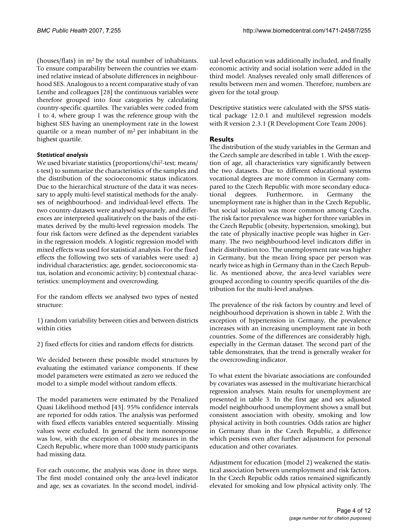(houses/flats) in m2 by the total number of inhabitants. To ensure comparability between the countries we examined relative instead of absolute differences in neighbourhood SES. Analogous to a recent comparative study of van Lenthe and colleagues [28] the continuous variables were therefore grouped into four categories by calculating country-specific quartiles. The variables were coded from 1 to 4, where group 1 was the reference group with the highest SES having an unemployment rate in the lowest quartile or a mean number of m2 per inhabitant in the highest quartile.

#### *Statistical analysis*

We used bivariate statistics (proportions/chi2-test; means/ t-test) to summarize the characteristics of the samples and the distribution of the socioeconomic status indicators. Due to the hierarchical structure of the data it was necessary to apply multi-level statistical methods for the analyses of neighbourhood- and individual-level effects. The two country-datasets were analysed separately, and differences are interpreted qualitatively on the basis of the estimates derived by the multi-level regression models. The four risk factors were defined as the dependent variables in the regression models. A logistic regression model with mixed effects was used for statistical analysis. For the fixed effects the following two sets of variables were used: a) individual characteristics: age, gender, socioeconomic status, isolation and economic activity; b) contextual characteristics: unemployment and overcrowding.

For the random effects we analysed two types of nested structure:

1) random variability between cities and between districts within cities

2) fixed effects for cities and random effects for districts.

We decided between these possible model structures by evaluating the estimated variance components. If these model parameters were estimated as zero we reduced the model to a simple model without random effects.

The model parameters were estimated by the Penalized Quasi Likelihood method [43]. 95% confidence intervals are reported for odds ratios. The analysis was performed with fixed effects variables entered sequentially. Missing values were excluded. In general the item nonresponse was low, with the exception of obesity measures in the Czech Republic, where more than 1000 study participants had missing data.

For each outcome, the analysis was done in three steps. The first model contained only the area-level indicator and age, sex as covariates. In the second model, individual-level education was additionally included, and finally economic activity and social isolation were added in the third model. Analyses revealed only small differences of results between men and women. Therefore, numbers are given for the total group.

Descriptive statistics were calculated with the SPSS statistical package 12.0.1 and multilevel regression models with R version 2.3.1 (R Development Core Team 2006).

#### **Results**

The distribution of the study variables in the German and the Czech sample are described in table 1. With the exception of age, all characteristics vary significantly between the two datasets. Due to different educational systems vocational degrees are more common in Germany compared to the Czech Republic with more secondary educational degrees. Furthermore, in Germany the unemployment rate is higher than in the Czech Republic, but social isolation was more common among Czechs. The risk factor prevalence was higher for three variables in the Czech Republic (obesity, hypertension, smoking), but the rate of physically inactive people was higher in Germany. The two neighbourhood-level indicators differ in their distribution too. The unemployment rate was higher in Germany, but the mean living space per person was nearly twice as high in Germany than in the Czech Republic. As mentioned above, the area-level variables were grouped according to country specific quartiles of the distribution for the multi-level analyses.

The prevalence of the risk factors by country and level of neighbourhood deprivation is shown in table 2. With the exception of hypertension in Germany, the prevalence increases with an increasing unemployment rate in both countries. Some of the differences are considerably high, especially in the German dataset. The second part of the table demonstrates, that the trend is generally weaker for the overcrowding indicator.

To what extent the bivariate associations are confounded by covariates was assessed in the multivariate hierarchical regression analyses. Main results for unemployment are presented in table 3. In the first age and sex adjusted model neighbourhood unemployment shows a small but consistent association with obesity, smoking and low physical activity in both countries. Odds ratios are higher in Germany than in the Czech Republic, a difference which persists even after further adjustment for personal education and other covariates.

Adjustment for education (model 2) weakened the statistical association between unemployment and risk factors. In the Czech Republic odds ratios remained significantly elevated for smoking and low physical activity only. The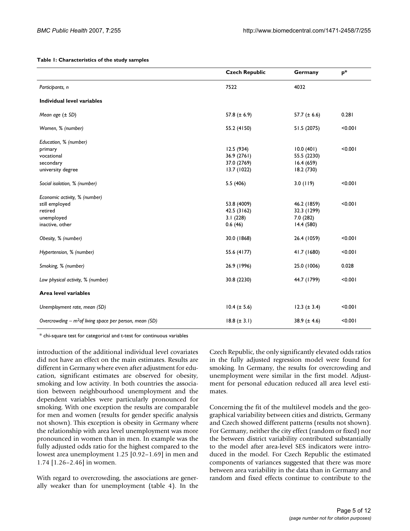#### **Table 1: Characteristics of the study samples**

|                                                                     | <b>Czech Republic</b> | Germany          | $p*$    |
|---------------------------------------------------------------------|-----------------------|------------------|---------|
| Participants, n                                                     | 7522                  | 4032             |         |
| Individual level variables                                          |                       |                  |         |
| Mean age $(\pm SD)$                                                 | 57.8 $(\pm 6.9)$      | 57.7 $(\pm 6.6)$ | 0.281   |
| Women, % (number)                                                   | 55.2 (4150)           | 51.5 (2075)      | < 0.001 |
| Education, % (number)                                               |                       |                  |         |
| primary                                                             | 12.5(934)             | 10.0(401)        | < 0.001 |
| vocational                                                          | 36.9(2761)            | 55.5 (2230)      |         |
| secondary                                                           | 37.0 (2769)           | 16.4(659)        |         |
| university degree                                                   | 13.7 (1022)           | 18.2 (730)       |         |
| Social isolation, % (number)                                        | 5.5 (406)             | 3.0(119)         | < 0.001 |
| Economic activity, % (number)                                       |                       |                  |         |
| still employed                                                      | 53.8 (4009)           | 46.2 (1859)      | < 0.001 |
| retired                                                             | 42.5 (3162)           | 32.3 (1299)      |         |
| unemployed                                                          | 3.1(228)              | 7.0(282)         |         |
| inactive, other                                                     | 0.6(46)               | 14.4(580)        |         |
| Obesity, % (number)                                                 | 30.0 (1868)           | 26.4 (1059)      | < 0.001 |
| Hypertension, % (number)                                            | 55.6 (4177)           | 41.7 (1680)      | < 0.001 |
| Smoking, % (number)                                                 | 26.9 (1996)           | 25.0 (1006)      | 0.028   |
| Low physical activity, % (number)                                   | 30.8 (2230)           | 44.7 (1799)      | < 0.001 |
| Area level variables                                                |                       |                  |         |
| Unemployment rate, mean (SD)                                        | $10.4 (\pm 5.6)$      | $12.3 (\pm 3.4)$ | < 0.001 |
| Overcrowding - m <sup>2</sup> of living space per person, mean (SD) | $18.8 (\pm 3.1)$      | 38.9 $(\pm 4.6)$ | < 0.001 |

\* chi-square test for categorical and t-test for continuous variables

introduction of the additional individual level covariates did not have an effect on the main estimates. Results are different in Germany where even after adjustment for education, significant estimates are observed for obesity, smoking and low activity. In both countries the association between neighbourhood unemployment and the dependent variables were particularly pronounced for smoking. With one exception the results are comparable for men and women (results for gender specific analysis not shown). This exception is obesity in Germany where the relationship with area level unemployment was more pronounced in women than in men. In example was the fully adjusted odds ratio for the highest compared to the lowest area unemployment 1.25 [0.92–1.69] in men and 1.74 [1.26–2.46] in women.

With regard to overcrowding, the associations are generally weaker than for unemployment (table 4). In the Czech Republic, the only significantly elevated odds ratios in the fully adjusted regression model were found for smoking. In Germany, the results for overcrowding and unemployment were similar in the first model. Adjustment for personal education reduced all area level estimates.

Concerning the fit of the multilevel models and the geographical variability between cities and districts, Germany and Czech showed different patterns (results not shown). For Germany, neither the city effect (random or fixed) nor the between district variability contributed substantially to the model after area-level SES indicators were introduced in the model. For Czech Republic the estimated components of variances suggested that there was more between area variability in the data than in Germany and random and fixed effects continue to contribute to the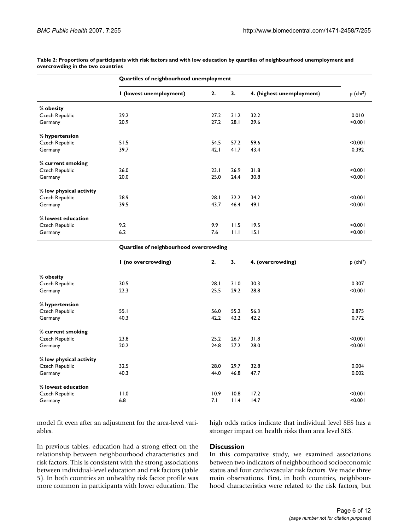|                         | Quartiles of neighbourhood unemployment |      |      |                           |                         |
|-------------------------|-----------------------------------------|------|------|---------------------------|-------------------------|
|                         | I (lowest unemployment)                 | 2.   | 3.   | 4. (highest unemployment) | $p$ (chi <sup>2</sup> ) |
| % obesity               |                                         |      |      |                           |                         |
| Czech Republic          | 29.2                                    | 27.2 | 31.2 | 32.2                      | 0.010                   |
| Germany                 | 20.9                                    | 27.2 | 28.1 | 29.6                      | < 0.001                 |
| % hypertension          |                                         |      |      |                           |                         |
| Czech Republic          | 51.5                                    | 54.5 | 57.2 | 59.6                      | < 0.001                 |
| Germany                 | 39.7                                    | 42.1 | 41.7 | 43.4                      | 0.392                   |
| % current smoking       |                                         |      |      |                           |                         |
| Czech Republic          | 26.0                                    | 23.1 | 26.9 | 31.8                      | < 0.001                 |
| Germany                 | 20.0                                    | 25.0 | 24.4 | 30.8                      | < 0.001                 |
| % low physical activity |                                         |      |      |                           |                         |
| Czech Republic          | 28.9                                    | 28.1 | 32.2 | 34.2                      | < 0.001                 |
| Germany                 | 39.5                                    | 43.7 | 46.4 | 49.1                      | < 0.001                 |
| % lowest education      |                                         |      |      |                           |                         |
| Czech Republic          | 9.2                                     | 9.9  | 11.5 | 19.5                      | < 0.001                 |
| Germany                 | 6.2                                     | 7.6  | 11.1 | 15.1                      | < 0.001                 |

**Table 2: Proportions of participants with risk factors and with low education by quartiles of neighbourhood unemployment and overcrowding in the two countries**

**Quartiles of neighbourhood overcrowding**

|                         | I (no overcrowding) | 2.   | 3.   | 4. (overcrowding) | $p$ (chi <sup>2</sup> ) |
|-------------------------|---------------------|------|------|-------------------|-------------------------|
| % obesity               |                     |      |      |                   |                         |
| Czech Republic          | 30.5                | 28.1 | 31.0 | 30.3              | 0.307                   |
| Germany                 | 22.3                | 25.5 | 29.2 | 28.8              | < 0.001                 |
| % hypertension          |                     |      |      |                   |                         |
| Czech Republic          | 55.I                | 56.0 | 55.2 | 56.3              | 0.875                   |
| Germany                 | 40.3                | 42.2 | 42.2 | 42.2              | 0.772                   |
| % current smoking       |                     |      |      |                   |                         |
| Czech Republic          | 23.8                | 25.2 | 26.7 | 31.8              | < 0.001                 |
| Germany                 | 20.2                | 24.8 | 27.2 | 28.0              | < 0.001                 |
| % low physical activity |                     |      |      |                   |                         |
| Czech Republic          | 32.5                | 28.0 | 29.7 | 32.8              | 0.004                   |
| Germany                 | 40.3                | 44.0 | 46.8 | 47.7              | 0.002                   |
| % lowest education      |                     |      |      |                   |                         |
| Czech Republic          | 11.0                | 10.9 | 10.8 | 17.2              | < 0.001                 |
| Germany                 | 6.8                 | 7.1  | 11.4 | 14.7              | < 0.001                 |

model fit even after an adjustment for the area-level variables.

In previous tables, education had a strong effect on the relationship between neighbourhood characteristics and risk factors. This is consistent with the strong associations between individual-level education and risk factors (table 5). In both countries an unhealthy risk factor profile was more common in participants with lower education. The high odds ratios indicate that individual level SES has a stronger impact on health risks than area level SES.

#### **Discussion**

In this comparative study, we examined associations between two indicators of neighbourhood socioeconomic status and four cardiovascular risk factors. We made three main observations. First, in both countries, neighbourhood characteristics were related to the risk factors, but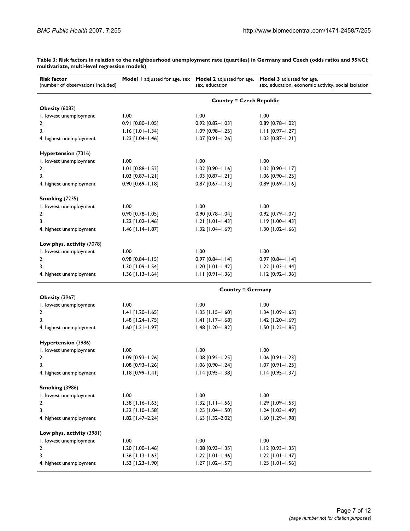| <b>Risk factor</b><br>(number of observations included) | <b>Model I</b> adjusted for age, sex <b>Model 2</b> adjusted for age, | sex, education           | Model 3 adjusted for age,<br>sex, education, economic activity, social isolation |  |
|---------------------------------------------------------|-----------------------------------------------------------------------|--------------------------|----------------------------------------------------------------------------------|--|
|                                                         | <b>Country = Czech Republic</b>                                       |                          |                                                                                  |  |
| Obesity (6082)                                          |                                                                       |                          |                                                                                  |  |
| I. lowest unemployment                                  | 1.00                                                                  | 1.00                     | 1.00                                                                             |  |
| 2.                                                      | 0.91 [0.80-1.05]                                                      | $0.92$ [0.82-1.03]       | $0.89$ [0.78-1.02]                                                               |  |
| 3.                                                      | $1.16$ [1.01-1.34]                                                    | $1.09$ [0.98-1.25]       | $1.11$ [0.97-1.27]                                                               |  |
| 4. highest unemployment                                 | $1.23$ [1.04-1.46]                                                    | $1.07$ [0.91-1.26]       | $1.03$ [0.87-1.21]                                                               |  |
| Hypertension (7316)                                     |                                                                       |                          |                                                                                  |  |
| I. lowest unemployment                                  | 1.00                                                                  | 1.00                     | 1.00                                                                             |  |
| 2.                                                      | $1.01$ $[0.88 - 1.52]$                                                | $1.02$ [0.90-1.16]       | $1.02$ [0.90-1.17]                                                               |  |
| 3.                                                      | $1.03$ [0.87-1.21]                                                    | $1.03$ [0.87-1.21]       | $1.06$ [0.90-1.25]                                                               |  |
| 4. highest unemployment                                 | $0.90$ $[0.69 - 1.18]$                                                | $0.87$ [0.67-1.13]       | $0.89$ [0.69-1.16]                                                               |  |
| <b>Smoking (7235)</b>                                   |                                                                       |                          |                                                                                  |  |
| I. lowest unemployment                                  | 1.00                                                                  | 1.00                     | 1.00                                                                             |  |
| 2.                                                      | $0.90$ [0.78-1.05]                                                    | $0.90$ [0.78-1.04]       | 0.92 [0.79-1.07]                                                                 |  |
| 3.                                                      | $1.22$ [1.02-1.46]                                                    | $1.21$ [1.01-1.43]       | $1.19$ [1.00-1.43]                                                               |  |
| 4. highest unemployment                                 | $1.46$ [1.14–1.87]                                                    | $1.32$ [1.04-1.69]       | $1.30$ [1.02-1.66]                                                               |  |
| Low phys. activity (7078)                               |                                                                       |                          |                                                                                  |  |
| I. lowest unemployment                                  | 1.00                                                                  | 1.00                     | 1.00                                                                             |  |
| 2.                                                      | $0.98$ [0.84-1.15]                                                    | $0.97$ [0.84-1.14]       | $0.97$ [0.84-1.14]                                                               |  |
| 3.                                                      | $1.30$ [1.09-1.54]                                                    | $1.20$ [1.01-1.42]       | $1.22$ [1.03-1.44]                                                               |  |
| 4. highest unemployment                                 | $1.36$ [1.13-1.64]                                                    | $1.11$ [0.91-1.36]       | $1.12$ [0.92-1.36]                                                               |  |
|                                                         |                                                                       | <b>Country = Germany</b> |                                                                                  |  |
| Obesity (3967)                                          |                                                                       |                          |                                                                                  |  |
| I. lowest unemployment                                  | 1.00                                                                  | 1.00                     | 1.00                                                                             |  |
| 2.                                                      | $1.41$ [1.20-1.65]                                                    | $1.35$ [1.15-1.60]       | $1.34$ [1.09-1.65]                                                               |  |
| 3.                                                      | $1.48$ [1.24-1.75]                                                    | $1.4$   $[1.17 - 1.68]$  | $1.42$ [1.20-1.69]                                                               |  |
| 4. highest unemployment                                 | $1.60$ [1.31-1.97]                                                    | $1.48$ [1.20-1.82]       | $1.50$ [1.22-1.85]                                                               |  |
| Hypertension (3986)                                     |                                                                       |                          |                                                                                  |  |
| I. lowest unemployment                                  | 1.00                                                                  | 1.00                     | 1.00                                                                             |  |
| 2.                                                      | $1.09$ [0.93-1.26]                                                    | $1.08$ [0.92-1.25]       | $1.06$ [0.91-1.23]                                                               |  |
| 3.                                                      | $1.08$ [0.93-1.26]                                                    | $1.06$ [0.90-1.24]       | $1.07$ [0.91-1.25]                                                               |  |
| 4. highest unemployment                                 | $1.18$ [0.99-1.41]                                                    | $1.14$ [0.95-1.38]       | $1.14$ [0.95-1.37]                                                               |  |
| Smoking (3986)                                          |                                                                       |                          |                                                                                  |  |
| I. lowest unemployment                                  | 1.00                                                                  | 1.00                     | 1.00                                                                             |  |
| 2.                                                      | $1.38$ [1.16-1.63]                                                    | $1.32$ [1.11-1.56]       | 1.29 [1.09-1.53]                                                                 |  |
| 3.                                                      | $1.32$ [1.10-1.58]                                                    | $1.25$ [1.04-1.50]       | 1.24 [1.03-1.49]                                                                 |  |
| 4. highest unemployment                                 | $1.82$ [1.47-2.24]                                                    | $1.63$ [1.32-2.02]       | 1.60 [1.29-1.98]                                                                 |  |
| Low phys. activity (3981)                               |                                                                       |                          |                                                                                  |  |
| I. lowest unemployment                                  | 1.00                                                                  | 1.00                     | 1.00                                                                             |  |
| 2.                                                      | $1.20$ [1.00-1.46]                                                    | $1.08$ [0.93-1.35]       | $1.12$ [0.93-1.35]                                                               |  |
| 3.                                                      | $1.36$ [1.13-1.63]                                                    | $1.22$ [1.01-1.46]       | $1.22$ [1.01-1.47]                                                               |  |
| 4. highest unemployment                                 | 1.53 [1.23-1.90]                                                      | $1.27$ [1.02-1.57]       | $1.25$ [1.01-1.56]                                                               |  |

**Table 3: Risk factors in relation to the neighbourhood unemployment rate (quartiles) in Germany and Czech (odds ratios and 95%CI; multivariate, multi-level regression models)**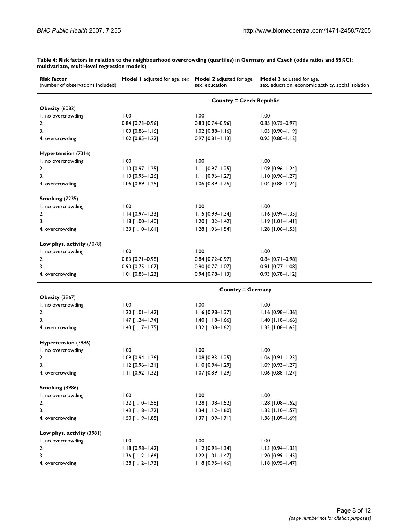| <b>Risk factor</b><br>(number of observations included) | Model I adjusted for age, sex Model 2 adjusted for age, | sex, education     | Model 3 adjusted for age,<br>sex, education, economic activity, social isolation |  |
|---------------------------------------------------------|---------------------------------------------------------|--------------------|----------------------------------------------------------------------------------|--|
|                                                         | <b>Country = Czech Republic</b>                         |                    |                                                                                  |  |
| Obesity (6082)                                          |                                                         |                    |                                                                                  |  |
| I. no overcrowding                                      | 1.00                                                    | 1.00               | 1.00                                                                             |  |
| 2.                                                      | $0.84$ [0.73-0.96]                                      | $0.83$ [0.74-0.96] | $0.85$ [0.75-0.97]                                                               |  |
| 3.                                                      | $1.00$ [0.86-1.16]                                      | $1.02$ [0.88-1.16] | $1.03$ [0.90-1.19]                                                               |  |
| 4. overcrowding                                         | $1.02$ [0.85-1.22]                                      | $0.97$ [0.81-1.13] | $0.95$ [0.80-1.12]                                                               |  |
| Hypertension (7316)                                     |                                                         |                    |                                                                                  |  |
| I. no overcrowding                                      | 1.00                                                    | 1.00               | 1.00                                                                             |  |
| 2.                                                      | $1.10$ [0.97-1.25]                                      | $1.11$ [0.97-1.25] | 1.09 [0.96-1.24]                                                                 |  |
| 3.                                                      | $1.10$ [0.95-1.26]                                      | $1.11$ [0.96-1.27] | $1.10$ [0.96-1.27]                                                               |  |
| 4. overcrowding                                         | $1.06$ [0.89-1.25]                                      | $1.06$ [0.89-1.26] | $1.04$ [0.88-1.24]                                                               |  |
| <b>Smoking (7235)</b>                                   |                                                         |                    |                                                                                  |  |
| I. no overcrowding                                      | 1.00                                                    | 1.00               | 1.00                                                                             |  |
| 2.                                                      | $1.14$ [0.97-1.33]                                      | $1.15$ [0.99-1.34] | $1.16$ [0.99-1.35]                                                               |  |
| 3.                                                      | $1.18$ $[1.00 - 1.40]$                                  | $1.20$ [1.02-1.42] | $1.19$ [1.01-1.41]                                                               |  |
| 4. overcrowding                                         | $1.33$ [1.10-1.61]                                      | $1.28$ [1.06-1.54] | $1.28$ [1.06-1.55]                                                               |  |
| Low phys. activity (7078)                               |                                                         |                    |                                                                                  |  |
| I. no overcrowding                                      | 1.00                                                    | 1.00               | 1.00                                                                             |  |
| 2.                                                      | $0.83$ [0.71-0.98]                                      | $0.84$ [0.72-0.97] | $0.84$ [0.71-0.98]                                                               |  |
| 3.                                                      | 0.90 [0.75-1.07]                                        | $0.90$ [0.77-1.07] | 0.91 [0.77-1.08]                                                                 |  |
| 4. overcrowding                                         | $1.01$ [0.83-1.23]                                      | $0.94$ [0.78-1.13] | $0.93$ [0.78-1.12]                                                               |  |
|                                                         | <b>Country = Germany</b>                                |                    |                                                                                  |  |
| Obesity (3967)                                          |                                                         |                    |                                                                                  |  |
| I. no overcrowding                                      | 1.00                                                    | 1.00               | 1.00                                                                             |  |
| 2.                                                      | $1.20$ [ $1.01 - 1.42$ ]                                | $1.16$ [0.98-1.37] | $1.16$ [0.98-1.36]                                                               |  |
| 3.                                                      | 1.47 [1.24-1.74]                                        | $1.40$ [1.18-1.66] | $1.40$ [1.18-1.66]                                                               |  |
| 4. overcrowding                                         | $1.43$ [1.17-1.75]                                      | $1.32$ [1.08-1.62] | $1.33$ [1.08-1.63]                                                               |  |
| <b>Hypertension</b> (3986)                              |                                                         |                    |                                                                                  |  |
| I. no overcrowding                                      | 1.00                                                    | 1.00               | 1.00                                                                             |  |
| 2.                                                      | $1.09$ [0.94-1.26]                                      | $1.08$ [0.93-1.25] | $1.06$ [0.91-1.23]                                                               |  |
| 3.                                                      | $1.12$ [0.96-1.31]                                      | $1.10$ [0.94-1.29] | $1.09$ [0.93-1.27]                                                               |  |
| 4. overcrowding                                         | $1.11$ [0.92-1.32]                                      | 1.07 [0.89-1.29]   | $1.06$ [0.88-1.27]                                                               |  |
| Smoking (3986)                                          |                                                         |                    |                                                                                  |  |
| I. no overcrowding                                      | 1.00                                                    | 1.00               | 1.00                                                                             |  |
| 2.                                                      | $1.32$ [1.10-1.58]                                      | 1.28 [1.08-1.52]   | 1.28 [1.08-1.52]                                                                 |  |
| 3.                                                      | $1.43$ [1.18-1.72]                                      | $1.34$ [1.12-1.60] | $1.32$ [1.10-1.57]                                                               |  |
| 4. overcrowding                                         | 1.50 [1.19-1.88]                                        | $1.37$ [1.09-1.71] | 1.36 [1.09-1.69]                                                                 |  |
| Low phys. activity (3981)                               |                                                         |                    |                                                                                  |  |
| I. no overcrowding                                      | 1.00                                                    | 1.00               | 1.00                                                                             |  |
| 2.                                                      | $1.18$ [0.98-1.42]                                      | $1.12$ [0.93-1.34] | $1.13$ [0.94-1.33]                                                               |  |
| 3.                                                      | $1.36$ [1.12-1.66]                                      | $1.22$ [1.01-1.47] | $1.20$ [0.99-1.45]                                                               |  |
| 4. overcrowding                                         | $1.38$ [1.12-1.73]                                      | $1.18$ [0.95-1.46] | $1.18$ [0.95-1.47]                                                               |  |

**Table 4: Risk factors in relation to the neighbourhood overcrowding (quartiles) in Germany and Czech (odds ratios and 95%CI; multivariate, multi-level regression models)**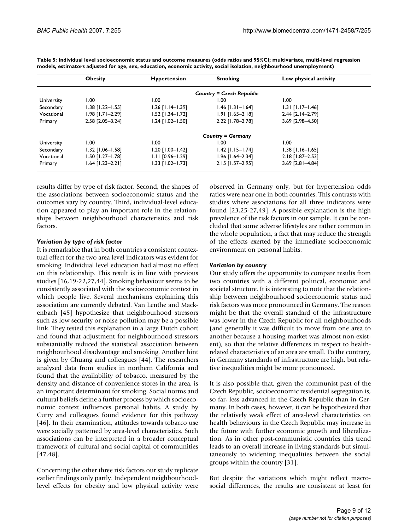|            | <b>Obesity</b>     | <b>Hypertension</b>             | <b>Smoking</b>         | Low physical activity   |  |
|------------|--------------------|---------------------------------|------------------------|-------------------------|--|
|            |                    | <b>Country = Czech Republic</b> |                        |                         |  |
| University | 1.00               | 0.1                             | 00. ا                  | 1.00                    |  |
| Secondary  | $1.38$ [1.22-1.55] | $1.26$ [1.14–1.39]              | $1.46$ [1.31-1.64]     | $1.3$   $[1.17 - 1.46]$ |  |
| Vocational | $1.98$ [1.71-2.29] | $1.52$ [1.34–1.72]              | $1.91$ $[1.65 - 2.18]$ | 2.44 [2.14-2.79]        |  |
| Primary    | 2.58 [2.05-3.24]   | $1.24$ $[1.02 - 1.50]$          | 2.22 [1.78-2.78]       | 3.69 [2.98-4.50]        |  |
|            |                    | <b>Country = Germany</b>        |                        |                         |  |
| University | 1.00               | 1.00                            | 1.00                   | 00.1                    |  |
| Secondary  | $1.32$ [1.06-1.58] | $1.20$ $[1.00 - 1.42]$          | $1.42$ [1.15-1.74]     | $1.38$ [1.16–1.65]      |  |
| Vocational | $1.50$ [1.27-1.78] | $1.11$ $[0.96 - 1.29]$          | $1.96$ $[1.64 - 2.34]$ | 2.18 [1.87-2.53]        |  |
| Primary    | 1.64 [1.23-2.21]   | $1.33$ $[1.02 - 1.73]$          | 2.15 [1.57-2.95]       | 3.69 [2.81-4.84]        |  |

**Table 5: Individual level socioeconomic status and outcome measures (odds ratios and 95%CI; multivariate, multi-level regression models, estimators adjusted for age, sex, education, economic activity, social isolation, neighbourhood unemployment)**

results differ by type of risk factor. Second, the shapes of the associations between socioeconomic status and the outcomes vary by country. Third, individual-level education appeared to play an important role in the relationships between neighbourhood characteristics and risk factors.

#### *Variation by type of risk factor*

It is remarkable that in both countries a consistent contextual effect for the two area level indicators was evident for smoking. Individual level education had almost no effect on this relationship. This result is in line with previous studies [16,19-22,27,44]. Smoking behaviour seems to be consistently associated with the socioeconomic context in which people live. Several mechanisms explaining this association are currently debated. Van Lenthe and Mackenbach [45] hypothesize that neighbourhood stressors such as low security or noise pollution may be a possible link. They tested this explanation in a large Dutch cohort and found that adjustment for neighbourhood stressors substantially reduced the statistical association between neighbourhood disadvantage and smoking. Another hint is given by Chuang and colleagues [44]. The researchers analysed data from studies in northern California and found that the availability of tobacco, measured by the density and distance of convenience stores in the area, is an important determinant for smoking. Social norms and cultural beliefs define a further process by which socioeconomic context influences personal habits. A study by Curry and colleagues found evidence for this pathway [46]. In their examination, attitudes towards tobacco use were socially patterned by area-level characteristics. Such associations can be interpreted in a broader conceptual framework of cultural and social capital of communities [47,48].

Concerning the other three risk factors our study replicate earlier findings only partly. Independent neighbourhoodlevel effects for obesity and low physical activity were observed in Germany only, but for hypertension odds ratios were near one in both countries. This contrasts with studies where associations for all three indicators were found [23,25-27,49]. A possible explanation is the high prevalence of the risk factors in our sample. It can be concluded that some adverse lifestyles are rather common in the whole population, a fact that may reduce the strength of the effects exerted by the immediate socioeconomic environment on personal habits.

#### *Variation by country*

Our study offers the opportunity to compare results from two countries with a different political, economic and societal structure. It is interesting to note that the relationship between neighbourhood socioeconomic status and risk factors was more pronounced in Germany. The reason might be that the overall standard of the infrastructure was lower in the Czech Republic for all neighbourhoods (and generally it was difficult to move from one area to another because a housing market was almost non-existent), so that the relative differences in respect to healthrelated characteristics of an area are small. To the contrary, in Germany standards of infrastructure are high, but relative inequalities might be more pronounced.

It is also possible that, given the communist past of the Czech Republic, socioeconomic residential segregation is, so far, less advanced in the Czech Republic than in Germany. In both cases, however, it can be hypothesized that the relatively weak effect of area-level characteristics on health behaviours in the Czech Republic may increase in the future with further economic growth and liberalization. As in other post-communistic countries this trend leads to an overall increase in living standards but simultaneously to widening inequalities between the social groups within the country [31].

But despite the variations which might reflect macrosocial differences, the results are consistent at least for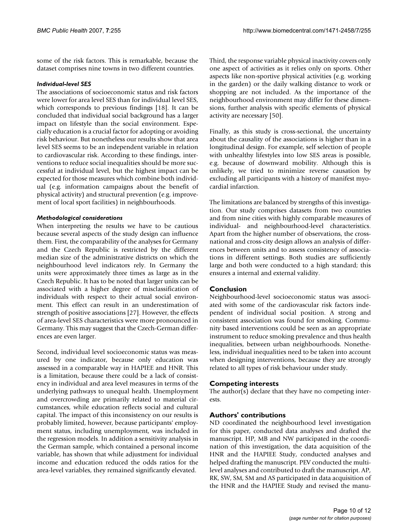some of the risk factors. This is remarkable, because the dataset comprises nine towns in two different countries.

#### *Individual-level SES*

The associations of socioeconomic status and risk factors were lower for area level SES than for individual level SES, which corresponds to previous findings [18]. It can be concluded that individual social background has a larger impact on lifestyle than the social environment. Especially education is a crucial factor for adopting or avoiding risk behaviour. But nonetheless our results show that area level SES seems to be an independent variable in relation to cardiovascular risk. According to these findings, interventions to reduce social inequalities should be more successful at individual level, but the highest impact can be expected for those measures which combine both individual (e.g. information campaigns about the benefit of physical activity) and structural prevention (e.g. improvement of local sport facilities) in neighbourhoods.

#### *Methodological considerations*

When interpreting the results we have to be cautious because several aspects of the study design can influence them. First, the comparability of the analyses for Germany and the Czech Republic is restricted by the different median size of the administrative districts on which the neighbourhood level indicators rely. In Germany the units were approximately three times as large as in the Czech Republic. It has to be noted that larger units can be associated with a higher degree of misclassification of individuals with respect to their actual social environment. This effect can result in an underestimation of strength of positive associations [27]. However, the effects of area-level SES characteristics were more pronounced in Germany. This may suggest that the Czech-German differences are even larger.

Second, individual level socioeconomic status was measured by one indicator, because only education was assessed in a comparable way in HAPIEE and HNR. This is a limitation, because there could be a lack of consistency in individual and area level measures in terms of the underlying pathways to unequal health. Unemployment and overcrowding are primarily related to material circumstances, while education reflects social and cultural capital. The impact of this inconsistency on our results is probably limited, however, because participants' employment status, including unemployment, was included in the regression models. In addition a sensitivity analysis in the German sample, which contained a personal income variable, has shown that while adjustment for individual income and education reduced the odds ratios for the area-level variables, they remained significantly elevated.

Third, the response variable physical inactivity covers only one aspect of activities as it relies only on sports. Other aspects like non-sportive physical activities (e.g. working in the garden) or the daily walking distance to work or shopping are not included. As the importance of the neighbourhood environment may differ for these dimensions, further analysis with specific elements of physical activity are necessary [50].

Finally, as this study is cross-sectional, the uncertainty about the causality of the associations is higher than in a longitudinal design. For example, self selection of people with unhealthy lifestyles into low SES areas is possible, e.g. because of downward mobility. Although this is unlikely, we tried to minimize reverse causation by excluding all participants with a history of manifest myocardial infarction.

The limitations are balanced by strengths of this investigation. Our study comprises datasets from two countries and from nine cities with highly comparable measures of individual- and neighbourhood-level characteristics. Apart from the higher number of observations, the crossnational and cross-city design allows an analysis of differences between units and to assess consistency of associations in different settings. Both studies are sufficiently large and both were conducted to a high standard; this ensures a internal and external validity.

#### **Conclusion**

Neighbourhood-level socioeconomic status was associated with some of the cardiovascular risk factors independent of individual social position. A strong and consistent association was found for smoking. Community based interventions could be seen as an appropriate instrument to reduce smoking prevalence and thus health inequalities, between urban neighbourhoods. Nonetheless, individual inequalities need to be taken into account when designing interventions, because they are strongly related to all types of risk behaviour under study.

#### **Competing interests**

The author(s) declare that they have no competing interests.

#### **Authors' contributions**

ND coordinated the neighbourhood level investigation for this paper, conducted data analyses and drafted the manuscript. HP, MB and NW participated in the coordination of this investigation, the data acquisition of the HNR and the HAPIEE Study, conducted analyses and helped drafting the manuscript. PEV conducted the multilevel analyses and contributed to draft the manuscript. AP, RK, SW, SM, SM and AS participated in data acquisition of the HNR and the HAPIEE Study and revised the manu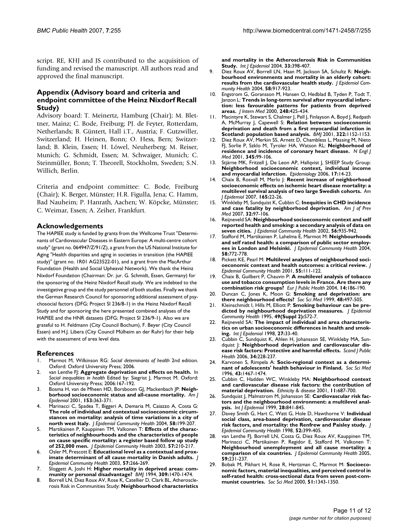script. RE, KHJ and JS contributed to the acquisition of funding and revised the manuscript. All authors read and approved the final manuscript.

#### **Appendix (Advisory board and criteria and endpoint committee of the Heinz Nixdorf Recall Study)**

Advisory board: T. Meinertz, Hamburg (Chair); M. Blettner, Mainz; C. Bode, Freiburg; PJ. de Feyter, Rotterdam, Netherlands; B. Güntert, Hall i.T., Austria; F. Gutzwiller, Switzerland; H. Heinen, Bonn; O. Hess, Bern; Switzerland; B. Klein, Essen; H. Löwel, Neuherberg; M. Reiser, Munich; G. Schmidt, Essen; M. Schwaiger, Munich; C. Steinmüller, Bonn; T. Theorell, Stockholm, Sweden; S.N. Willich, Berlin.

Criteria and endpoint committee: C. Bode, Freiburg (Chair); K. Berger, Münster; H.R. Figulla, Jena; C. Hamm, Bad Nauheim; P. Hanrath, Aachen; W. Köpcke, Münster; C. Weimar, Essen; A. Zeiher, Frankfurt.

#### **Acknowledgements**

The HAPIEE study is funded by grants from the Wellcome Trust "Determinants of Cardiovascular Diseases in Eastern Europe: A multi-centre cohort study" (grant no. 064947/Z/91/Z), a grant from the US National Institute for Aging "Health disparities and aging in societies in transition (the HAPIEE study)" (grant no. 1R01 AG23522-01), and a grant from the MacArthur Foundation (Health and Social Upheaval Network). We thank the Heinz Nixdorf Foundation (Chairman: Dr. jur. G. Schmidt, Essen, Germany) for the sponsoring of the Heinz Nixdorf Recall study. We are indebted to the investigative group and the study personnel of both studies. Finally we thank the German Research Council for sponsoring additional assessment of psychosocial factors (DFG; Project SI 236/8-1) in the Heinz Nixdorf Recall Study and for sponsoring the here presented combined analyses of the HAPIEE and the HNR datasets (DFG; Project SI 236/9-1). Also we are grateful to H. Feldmann (City Council Bochum), F. Beyer (City Council Essen) and H.J. Libera (City Council Mülheim an der Ruhr) for their help with the assessment of area level data.

#### **References**

- 1. Marmot M, Wilkinson RG: *Social deterninants of health* 2nd edition. Oxford: Oxford University Press; 2006.
- 2. van Lenthe FJ: **Aggregate deprivation and effects on health.** In *Social inequalities in health* Edited by: Siegrist J, Marmot M. Oxford: Oxford University Press; 2006:167-192.
- 3. Bosma H, van de Mheen HD, Borsboom GJ, Mackenbach JP: **[Neigh](http://www.ncbi.nlm.nih.gov/entrez/query.fcgi?cmd=Retrieve&db=PubMed&dopt=Abstract&list_uids=11207154)[borhood socioeconomic status and all-cause mortality.](http://www.ncbi.nlm.nih.gov/entrez/query.fcgi?cmd=Retrieve&db=PubMed&dopt=Abstract&list_uids=11207154)** *Am J Epidemiol* 2001, **153:**363-371.
- 4. Marinacci C, Spadea T, Biggeri A, Demaria M, Caiazzo A, Costa G: **The role of individual and contextual socioeconomic circum[stances on mortality: analysis of time variations in a city of](http://www.ncbi.nlm.nih.gov/entrez/query.fcgi?cmd=Retrieve&db=PubMed&dopt=Abstract&list_uids=14966232) [north west Italy.](http://www.ncbi.nlm.nih.gov/entrez/query.fcgi?cmd=Retrieve&db=PubMed&dopt=Abstract&list_uids=14966232)** *J Epidemiol Community Health* 2004, **58:**199-207.
- 5. Martikainen P, Kauppinen TM, Valkonen T: **[Effects of the charac](http://www.ncbi.nlm.nih.gov/entrez/query.fcgi?cmd=Retrieve&db=PubMed&dopt=Abstract&list_uids=12594198)teristics of neighbourhoods and the characteristics of people [on cause specific mortality: a register based follow up study](http://www.ncbi.nlm.nih.gov/entrez/query.fcgi?cmd=Retrieve&db=PubMed&dopt=Abstract&list_uids=12594198) [of 252,000 men.](http://www.ncbi.nlm.nih.gov/entrez/query.fcgi?cmd=Retrieve&db=PubMed&dopt=Abstract&list_uids=12594198)** *J Epidemiol Community Health* 2003, **57:**210-217.
- 6. Osler M, Prescott E: **[Educational level as a contextual and prox](http://www.ncbi.nlm.nih.gov/entrez/query.fcgi?cmd=Retrieve&db=PubMed&dopt=Abstract&list_uids=12646542)[imate determinant of all cause mortality in Danish adults.](http://www.ncbi.nlm.nih.gov/entrez/query.fcgi?cmd=Retrieve&db=PubMed&dopt=Abstract&list_uids=12646542)** *J Epidemiol Community Health* 2003, **57:**266-269.
- 7. Sloggett A, Joshi H: **[Higher mortality in deprived areas: com](http://www.ncbi.nlm.nih.gov/entrez/query.fcgi?cmd=Retrieve&db=PubMed&dopt=Abstract&list_uids=7804047)[munity or personal disadvantage?](http://www.ncbi.nlm.nih.gov/entrez/query.fcgi?cmd=Retrieve&db=PubMed&dopt=Abstract&list_uids=7804047)** *BMJ* 1994, **309:**1470-1474.
- 8. Borrell LN, Diez Roux AV, Rose K, Catellier D, Clark BL, Atherosclerosis Risk in Communities Study: **[Neighbourhood characteristics](http://www.ncbi.nlm.nih.gov/entrez/query.fcgi?cmd=Retrieve&db=PubMed&dopt=Abstract&list_uids=15082648)**

**[and mortality in the Atherosclerosis Risk in Communities](http://www.ncbi.nlm.nih.gov/entrez/query.fcgi?cmd=Retrieve&db=PubMed&dopt=Abstract&list_uids=15082648) [Study.](http://www.ncbi.nlm.nih.gov/entrez/query.fcgi?cmd=Retrieve&db=PubMed&dopt=Abstract&list_uids=15082648)** *Int J Epidemiol* 2004, **33:**398-407.

- 9. Diez Roux AV, Borrell LN, Haan M, Jackson SA, Schultz R: **[Neigh](http://www.ncbi.nlm.nih.gov/entrez/query.fcgi?cmd=Retrieve&db=PubMed&dopt=Abstract&list_uids=15483307)[bourhood environments and mortality in an elderly cohort:](http://www.ncbi.nlm.nih.gov/entrez/query.fcgi?cmd=Retrieve&db=PubMed&dopt=Abstract&list_uids=15483307) [results from the cardiovascular health study.](http://www.ncbi.nlm.nih.gov/entrez/query.fcgi?cmd=Retrieve&db=PubMed&dopt=Abstract&list_uids=15483307)** *J Epidemiol Community Health* 2004, **58:**917-923.
- 10. Engstrom G, Goransson M, Hansen O, Hedblad B, Tyden P, Todt T, Janzon L: **[Trends in long-term survival after myocardial infarc](http://www.ncbi.nlm.nih.gov/entrez/query.fcgi?cmd=Retrieve&db=PubMed&dopt=Abstract&list_uids=11123507)[tion: less favourable patterns for patients from deprived](http://www.ncbi.nlm.nih.gov/entrez/query.fcgi?cmd=Retrieve&db=PubMed&dopt=Abstract&list_uids=11123507) [areas.](http://www.ncbi.nlm.nih.gov/entrez/query.fcgi?cmd=Retrieve&db=PubMed&dopt=Abstract&list_uids=11123507)** *J Intern Med* 2000, **248:**425-434.
- 11. Macintyre K, Stewart S, Chalmer J, Pell J, Finlayson A, Boyd J, Redpath A, McMurray J, Capewell S: **[Relation between socioeconomic](http://www.ncbi.nlm.nih.gov/entrez/query.fcgi?cmd=Retrieve&db=PubMed&dopt=Abstract&list_uids=11348909) [deprivation and death from a first myocardial infarction in](http://www.ncbi.nlm.nih.gov/entrez/query.fcgi?cmd=Retrieve&db=PubMed&dopt=Abstract&list_uids=11348909) [Scotland: population based analysis.](http://www.ncbi.nlm.nih.gov/entrez/query.fcgi?cmd=Retrieve&db=PubMed&dopt=Abstract&list_uids=11348909)** *BMJ* 2001, **322:**1152-1153.
- Diez Roux AV, Merkin SS, Arnett D, Chambless L, Massing M, Nieto FJ, Sorlie P, Szklo M, Tyroler HA, Watson RL: **[Neighborhood of](http://www.ncbi.nlm.nih.gov/entrez/query.fcgi?cmd=Retrieve&db=PubMed&dopt=Abstract&list_uids=11450679) [residence and incidence of coronary heart disease.](http://www.ncbi.nlm.nih.gov/entrez/query.fcgi?cmd=Retrieve&db=PubMed&dopt=Abstract&list_uids=11450679)** *N Engl J Med* 2001, **345:**99-106.
- 13. Stjärne MK, Fritzell J, De Leon AP, Hallqvist J, SHEEP Study Group: **[Neighborhood socioeconomic context, individual income](http://www.ncbi.nlm.nih.gov/entrez/query.fcgi?cmd=Retrieve&db=PubMed&dopt=Abstract&list_uids=16357590) [and myocardial infarction.](http://www.ncbi.nlm.nih.gov/entrez/query.fcgi?cmd=Retrieve&db=PubMed&dopt=Abstract&list_uids=16357590)** *Epidemiology* 2006, **17:**14-23.
- 14. Chaix B, Rosvall M, Merlo J: **[Recent increase of neighborhood](http://www.ncbi.nlm.nih.gov/entrez/query.fcgi?cmd=Retrieve&db=PubMed&dopt=Abstract&list_uids=16973762) [socioeconomic effects on ischemic heart disease mortality: a](http://www.ncbi.nlm.nih.gov/entrez/query.fcgi?cmd=Retrieve&db=PubMed&dopt=Abstract&list_uids=16973762) [multilevel survival analysis of two large Swedish cohorts.](http://www.ncbi.nlm.nih.gov/entrez/query.fcgi?cmd=Retrieve&db=PubMed&dopt=Abstract&list_uids=16973762)** *Am J Epidemiol* 2007, **165:**22-26.
- 15. Winkleby M, Sundquist K, Cubbin C: **Inequities in CHD incidence and case fatality by neighborhood deprivation.** *Am J of Prev Med* 2007, **32:**97-106.
- 16. Reijneveld SA: **[Neighbourhood socioeconomic context and self](http://www.ncbi.nlm.nih.gov/entrez/query.fcgi?cmd=Retrieve&db=PubMed&dopt=Abstract&list_uids=12461115) [reported health and smoking: a secondary analysis of data on](http://www.ncbi.nlm.nih.gov/entrez/query.fcgi?cmd=Retrieve&db=PubMed&dopt=Abstract&list_uids=12461115) [seven cities.](http://www.ncbi.nlm.nih.gov/entrez/query.fcgi?cmd=Retrieve&db=PubMed&dopt=Abstract&list_uids=12461115)** *J Epidemiol Community Health* 2002, **56:**935-942.
- 17. Stafford M, Martikainen P, Lahelma E, Marmot M: **[Neighbourhoods](http://www.ncbi.nlm.nih.gov/entrez/query.fcgi?cmd=Retrieve&db=PubMed&dopt=Abstract&list_uids=15310804) [and self rated health: a comparison of public sector employ](http://www.ncbi.nlm.nih.gov/entrez/query.fcgi?cmd=Retrieve&db=PubMed&dopt=Abstract&list_uids=15310804)[ees in London and Helsinki.](http://www.ncbi.nlm.nih.gov/entrez/query.fcgi?cmd=Retrieve&db=PubMed&dopt=Abstract&list_uids=15310804)** *J Epidemiol Community Health* 2004, **58:**772-778.
- 18. Pickett KE, Pearl M: **[Multilevel analyses of neighbourhood soci](http://www.ncbi.nlm.nih.gov/entrez/query.fcgi?cmd=Retrieve&db=PubMed&dopt=Abstract&list_uids=11154250)[oeconomic context and health outcomes: a critical review.](http://www.ncbi.nlm.nih.gov/entrez/query.fcgi?cmd=Retrieve&db=PubMed&dopt=Abstract&list_uids=11154250)** *J Epidemiol Community Health* 2001, **55:**111-122.
- 19. Chaix B, Guilbert P, Chauvin P: **[A multilevel analysis of tobacco](http://www.ncbi.nlm.nih.gov/entrez/query.fcgi?cmd=Retrieve&db=PubMed&dopt=Abstract&list_uids=15230507) [use and tobacco consumption levels in France. Are there any](http://www.ncbi.nlm.nih.gov/entrez/query.fcgi?cmd=Retrieve&db=PubMed&dopt=Abstract&list_uids=15230507) [combination risk groups?](http://www.ncbi.nlm.nih.gov/entrez/query.fcgi?cmd=Retrieve&db=PubMed&dopt=Abstract&list_uids=15230507)** *Eur J Public Health* 2004, **14:**186-190.
- 20. Duncan C, Jones K, Moon G: **[Smoking and deprivation: are](http://www.ncbi.nlm.nih.gov/entrez/query.fcgi?cmd=Retrieve&db=PubMed&dopt=Abstract&list_uids=10075175) [there neighbourhood effects?](http://www.ncbi.nlm.nih.gov/entrez/query.fcgi?cmd=Retrieve&db=PubMed&dopt=Abstract&list_uids=10075175)** *Soc Sci Med* 1999, **48:**497-505.
- 21. Kleinschmidt I, Hills M, Elliott P: **[Smoking behaviour can be pre](http://www.ncbi.nlm.nih.gov/entrez/query.fcgi?cmd=Retrieve&db=PubMed&dopt=Abstract&list_uids=8594138)[dicted by neighbourhood deprivation measures.](http://www.ncbi.nlm.nih.gov/entrez/query.fcgi?cmd=Retrieve&db=PubMed&dopt=Abstract&list_uids=8594138)** *J Epidemiol Community Health* 1995, **49(Suppl 2):**S72-7.
- 22. Reijneveld SA: **[The impact of individual and area characteris](http://www.ncbi.nlm.nih.gov/entrez/query.fcgi?cmd=Retrieve&db=PubMed&dopt=Abstract&list_uids=9563691)[tics on urban socioeconomic differences in health and smok](http://www.ncbi.nlm.nih.gov/entrez/query.fcgi?cmd=Retrieve&db=PubMed&dopt=Abstract&list_uids=9563691)[ing.](http://www.ncbi.nlm.nih.gov/entrez/query.fcgi?cmd=Retrieve&db=PubMed&dopt=Abstract&list_uids=9563691)** *Int J Epidemiol* 1998, **27:**33-40.
- 23. Cubbin C, Sundquist K, Ahlen H, Johansson SE, Winkleby MA, Sundquist J: **[Neighborhood deprivation and cardiovascular dis](http://www.ncbi.nlm.nih.gov/entrez/query.fcgi?cmd=Retrieve&db=PubMed&dopt=Abstract&list_uids=16754580)[ease risk factors: Protective and harmful effects.](http://www.ncbi.nlm.nih.gov/entrez/query.fcgi?cmd=Retrieve&db=PubMed&dopt=Abstract&list_uids=16754580)** *Scand J Public Health* 2006, **34:**228-237.
- 24. Karvonen S, Rimpela A: **[Socio-regional context as a determi](http://www.ncbi.nlm.nih.gov/entrez/query.fcgi?cmd=Retrieve&db=PubMed&dopt=Abstract&list_uids=8923619)[nant of adolescents' health behaviour in Finland.](http://www.ncbi.nlm.nih.gov/entrez/query.fcgi?cmd=Retrieve&db=PubMed&dopt=Abstract&list_uids=8923619)** *Soc Sci Med* 1996, **43:**1467-1474.
- 25. Cubbin C, Hadden WC, Winkleby MA: **[Neighborhood context](http://www.ncbi.nlm.nih.gov/entrez/query.fcgi?cmd=Retrieve&db=PubMed&dopt=Abstract&list_uids=11763293) [and cardiovascular disease risk factors: the contribution of](http://www.ncbi.nlm.nih.gov/entrez/query.fcgi?cmd=Retrieve&db=PubMed&dopt=Abstract&list_uids=11763293) [material deprivation.](http://www.ncbi.nlm.nih.gov/entrez/query.fcgi?cmd=Retrieve&db=PubMed&dopt=Abstract&list_uids=11763293)** *Ethnicity & disease* 2001, **11:**687-700.
- 26. Sundquist J, Malmstrom M, Johansson SE: [Cardiovascular risk fac](http://www.ncbi.nlm.nih.gov/entrez/query.fcgi?cmd=Retrieve&db=PubMed&dopt=Abstract&list_uids=10597980)**[tors and the neighbourhood environment: a multilevel anal](http://www.ncbi.nlm.nih.gov/entrez/query.fcgi?cmd=Retrieve&db=PubMed&dopt=Abstract&list_uids=10597980)[ysis.](http://www.ncbi.nlm.nih.gov/entrez/query.fcgi?cmd=Retrieve&db=PubMed&dopt=Abstract&list_uids=10597980)** *Int J Epidemiol* 1999, **28:**841-845.
- 27. Davey Smith G, Hart C, Watt G, Hole D, Hawthorne V: **[Individual](http://www.ncbi.nlm.nih.gov/entrez/query.fcgi?cmd=Retrieve&db=PubMed&dopt=Abstract&list_uids=9764262) [social class, area-based deprivation, cardiovascular disease](http://www.ncbi.nlm.nih.gov/entrez/query.fcgi?cmd=Retrieve&db=PubMed&dopt=Abstract&list_uids=9764262) [risk factors, and mortality: the Renfrew and Paisley study.](http://www.ncbi.nlm.nih.gov/entrez/query.fcgi?cmd=Retrieve&db=PubMed&dopt=Abstract&list_uids=9764262)** *J Epidemiol Community Health* 1998, **52:**399-405.
- 28. van Lenthe FJ, Borrell LN, Costa G, Diez Roux AV, Kauppinen TM, Marinacci C, Martikainen P, Regidor E, Stafford M, Valkonen T: **[Neighbourhood unemployment and all cause mortality: a](http://www.ncbi.nlm.nih.gov/entrez/query.fcgi?cmd=Retrieve&db=PubMed&dopt=Abstract&list_uids=15709084) [comparison of six countries.](http://www.ncbi.nlm.nih.gov/entrez/query.fcgi?cmd=Retrieve&db=PubMed&dopt=Abstract&list_uids=15709084)** *J Epidemiol Community Health* 2005, **59:**231-237.
- 29. Bobak M, Pikhart H, Rose R, Hertzman C, Marmot M: **[Socioeco](http://www.ncbi.nlm.nih.gov/entrez/query.fcgi?cmd=Retrieve&db=PubMed&dopt=Abstract&list_uids=11037221)nomic factors, material inequalities, and perceived control in [self-rated health: cross-sectional data from seven post-com](http://www.ncbi.nlm.nih.gov/entrez/query.fcgi?cmd=Retrieve&db=PubMed&dopt=Abstract&list_uids=11037221)[munist countries.](http://www.ncbi.nlm.nih.gov/entrez/query.fcgi?cmd=Retrieve&db=PubMed&dopt=Abstract&list_uids=11037221)** *Soc Sci Med* 2000, **51:**1343-1350.